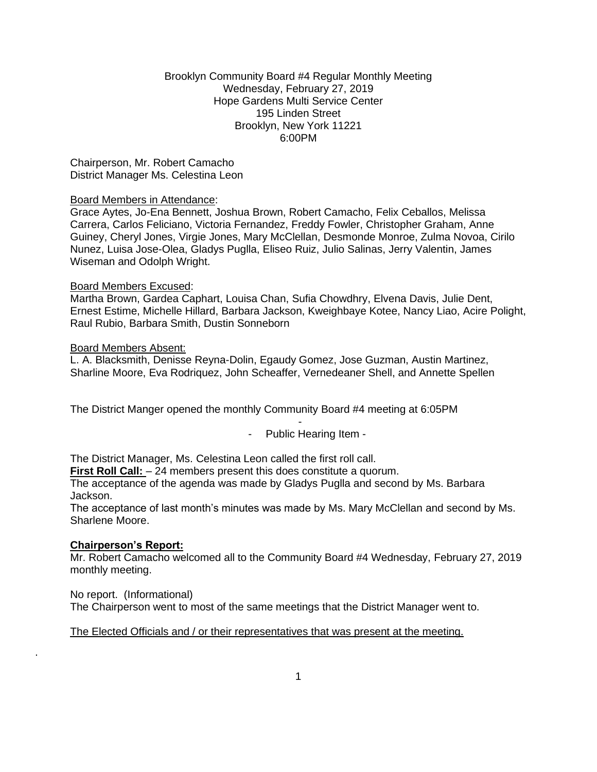### Brooklyn Community Board #4 Regular Monthly Meeting Wednesday, February 27, 2019 Hope Gardens Multi Service Center 195 Linden Street Brooklyn, New York 11221 6:00PM

Chairperson, Mr. Robert Camacho District Manager Ms. Celestina Leon

#### Board Members in Attendance:

Grace Aytes, Jo-Ena Bennett, Joshua Brown, Robert Camacho, Felix Ceballos, Melissa Carrera, Carlos Feliciano, Victoria Fernandez, Freddy Fowler, Christopher Graham, Anne Guiney, Cheryl Jones, Virgie Jones, Mary McClellan, Desmonde Monroe, Zulma Novoa, Cirilo Nunez, Luisa Jose-Olea, Gladys Puglla, Eliseo Ruiz, Julio Salinas, Jerry Valentin, James Wiseman and Odolph Wright.

#### Board Members Excused:

Martha Brown, Gardea Caphart, Louisa Chan, Sufia Chowdhry, Elvena Davis, Julie Dent, Ernest Estime, Michelle Hillard, Barbara Jackson, Kweighbaye Kotee, Nancy Liao, Acire Polight, Raul Rubio, Barbara Smith, Dustin Sonneborn

#### Board Members Absent:

L. A. Blacksmith, Denisse Reyna-Dolin, Egaudy Gomez, Jose Guzman, Austin Martinez, Sharline Moore, Eva Rodriquez, John Scheaffer, Vernedeaner Shell, and Annette Spellen

The District Manger opened the monthly Community Board #4 meeting at 6:05PM

- - Public Hearing Item -

The District Manager, Ms. Celestina Leon called the first roll call.

**First Roll Call:**  $-24$  members present this does constitute a quorum.

The acceptance of the agenda was made by Gladys Puglla and second by Ms. Barbara Jackson.

The acceptance of last month's minutes was made by Ms. Mary McClellan and second by Ms. Sharlene Moore.

### **Chairperson's Report:**

.

Mr. Robert Camacho welcomed all to the Community Board #4 Wednesday, February 27, 2019 monthly meeting.

No report. (Informational) The Chairperson went to most of the same meetings that the District Manager went to.

### The Elected Officials and / or their representatives that was present at the meeting.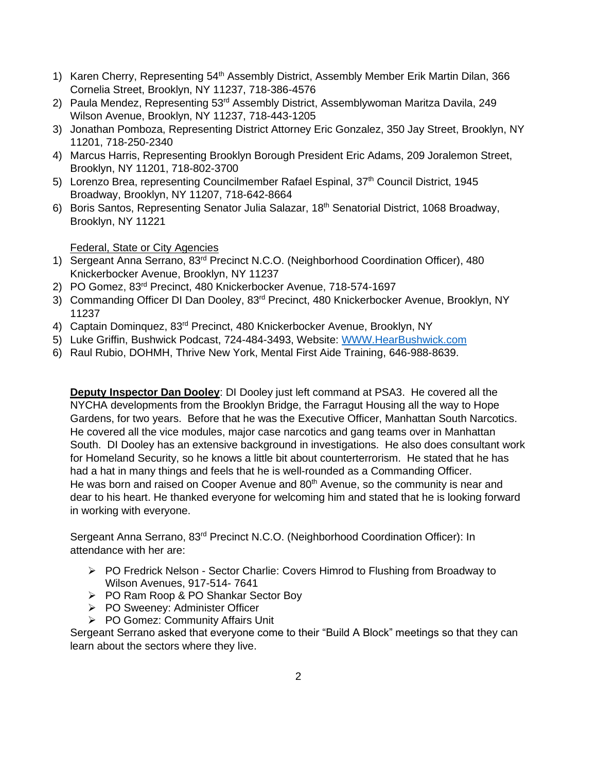- 1) Karen Cherry, Representing 54<sup>th</sup> Assembly District, Assembly Member Erik Martin Dilan, 366 Cornelia Street, Brooklyn, NY 11237, 718-386-4576
- 2) Paula Mendez, Representing 53<sup>rd</sup> Assembly District, Assemblywoman Maritza Davila, 249 Wilson Avenue, Brooklyn, NY 11237, 718-443-1205
- 3) Jonathan Pomboza, Representing District Attorney Eric Gonzalez, 350 Jay Street, Brooklyn, NY 11201, 718-250-2340
- 4) Marcus Harris, Representing Brooklyn Borough President Eric Adams, 209 Joralemon Street, Brooklyn, NY 11201, 718-802-3700
- 5) Lorenzo Brea, representing Councilmember Rafael Espinal, 37<sup>th</sup> Council District, 1945 Broadway, Brooklyn, NY 11207, 718-642-8664
- 6) Boris Santos, Representing Senator Julia Salazar, 18th Senatorial District, 1068 Broadway, Brooklyn, NY 11221

Federal, State or City Agencies

- 1) Sergeant Anna Serrano, 83rd Precinct N.C.O. (Neighborhood Coordination Officer), 480 Knickerbocker Avenue, Brooklyn, NY 11237
- 2) PO Gomez, 83rd Precinct, 480 Knickerbocker Avenue, 718-574-1697
- 3) Commanding Officer DI Dan Dooley, 83rd Precinct, 480 Knickerbocker Avenue, Brooklyn, NY 11237
- 4) Captain Dominquez, 83<sup>rd</sup> Precinct, 480 Knickerbocker Avenue, Brooklyn, NY
- 5) Luke Griffin, Bushwick Podcast, 724-484-3493, Website: [WWW.HearBushwick.com](http://www.hearbushwick.com/)
- 6) Raul Rubio, DOHMH, Thrive New York, Mental First Aide Training, 646-988-8639.

**Deputy Inspector Dan Dooley**: DI Dooley just left command at PSA3. He covered all the NYCHA developments from the Brooklyn Bridge, the Farragut Housing all the way to Hope Gardens, for two years. Before that he was the Executive Officer, Manhattan South Narcotics. He covered all the vice modules, major case narcotics and gang teams over in Manhattan South. DI Dooley has an extensive background in investigations. He also does consultant work for Homeland Security, so he knows a little bit about counterterrorism. He stated that he has had a hat in many things and feels that he is well-rounded as a Commanding Officer. He was born and raised on Cooper Avenue and 80<sup>th</sup> Avenue, so the community is near and dear to his heart. He thanked everyone for welcoming him and stated that he is looking forward in working with everyone.

Sergeant Anna Serrano, 83rd Precinct N.C.O. (Neighborhood Coordination Officer): In attendance with her are:

- ➢ PO Fredrick Nelson Sector Charlie: Covers Himrod to Flushing from Broadway to Wilson Avenues, 917-514- 7641
- ➢ PO Ram Roop & PO Shankar Sector Boy
- ➢ PO Sweeney: Administer Officer
- ➢ PO Gomez: Community Affairs Unit

Sergeant Serrano asked that everyone come to their "Build A Block" meetings so that they can learn about the sectors where they live.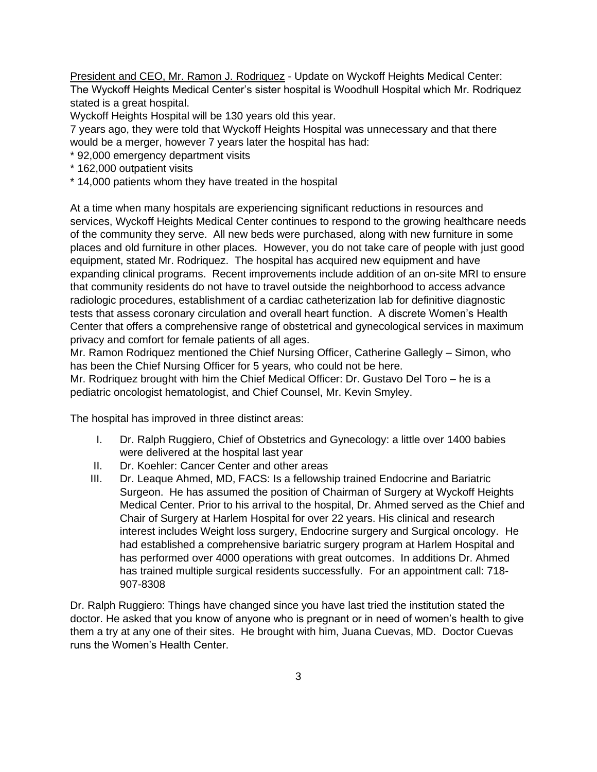President and CEO, Mr. Ramon J. Rodriquez - Update on Wyckoff Heights Medical Center: The Wyckoff Heights Medical Center's sister hospital is Woodhull Hospital which Mr. Rodriquez stated is a great hospital.

Wyckoff Heights Hospital will be 130 years old this year.

7 years ago, they were told that Wyckoff Heights Hospital was unnecessary and that there would be a merger, however 7 years later the hospital has had:

- \* 92,000 emergency department visits
- \* 162,000 outpatient visits
- \* 14,000 patients whom they have treated in the hospital

At a time when many hospitals are experiencing significant reductions in resources and services, Wyckoff Heights Medical Center continues to respond to the growing healthcare needs of the community they serve. All new beds were purchased, along with new furniture in some places and old furniture in other places. However, you do not take care of people with just good equipment, stated Mr. Rodriquez. The hospital has acquired new equipment and have expanding clinical programs. Recent improvements include addition of an on-site MRI to ensure that community residents do not have to travel outside the neighborhood to access advance radiologic procedures, establishment of a cardiac catheterization lab for definitive diagnostic tests that assess coronary circulation and overall heart function. A discrete Women's Health Center that offers a comprehensive range of obstetrical and gynecological services in maximum privacy and comfort for female patients of all ages.

Mr. Ramon Rodriquez mentioned the Chief Nursing Officer, Catherine Gallegly – Simon, who has been the Chief Nursing Officer for 5 years, who could not be here.

Mr. Rodriquez brought with him the Chief Medical Officer: Dr. Gustavo Del Toro – he is a pediatric oncologist hematologist, and Chief Counsel, Mr. Kevin Smyley.

The hospital has improved in three distinct areas:

- I. Dr. Ralph Ruggiero, Chief of Obstetrics and Gynecology: a little over 1400 babies were delivered at the hospital last year
- II. Dr. Koehler: Cancer Center and other areas
- III. Dr. Leaque Ahmed, MD, FACS: Is a fellowship trained Endocrine and Bariatric Surgeon. He has assumed the position of Chairman of Surgery at Wyckoff Heights Medical Center. Prior to his arrival to the hospital, Dr. Ahmed served as the Chief and Chair of Surgery at Harlem Hospital for over 22 years. His clinical and research interest includes Weight loss surgery, Endocrine surgery and Surgical oncology. He had established a comprehensive bariatric surgery program at Harlem Hospital and has performed over 4000 operations with great outcomes. In additions Dr. Ahmed has trained multiple surgical residents successfully. For an appointment call: 718- 907-8308

Dr. Ralph Ruggiero: Things have changed since you have last tried the institution stated the doctor. He asked that you know of anyone who is pregnant or in need of women's health to give them a try at any one of their sites. He brought with him, Juana Cuevas, MD. Doctor Cuevas runs the Women's Health Center.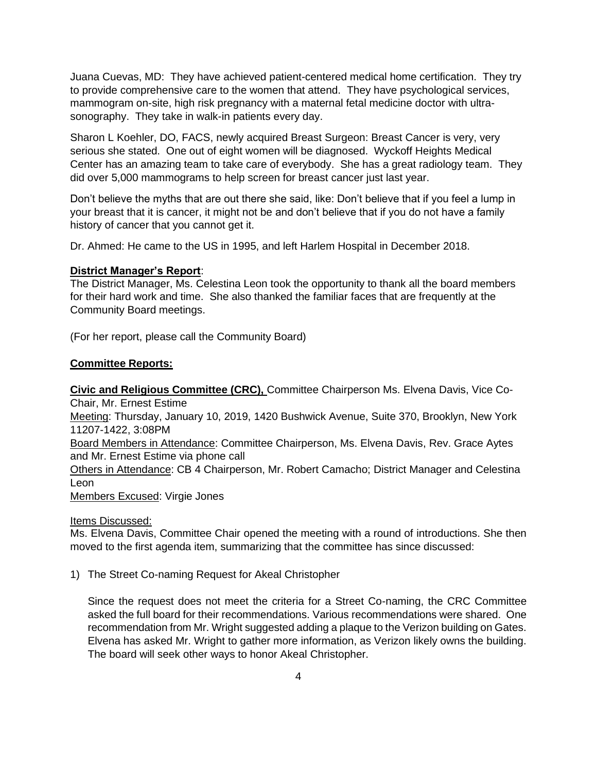Juana Cuevas, MD: They have achieved patient-centered medical home certification. They try to provide comprehensive care to the women that attend. They have psychological services, mammogram on-site, high risk pregnancy with a maternal fetal medicine doctor with ultrasonography. They take in walk-in patients every day.

Sharon L Koehler, DO, FACS, newly acquired Breast Surgeon: Breast Cancer is very, very serious she stated. One out of eight women will be diagnosed. Wyckoff Heights Medical Center has an amazing team to take care of everybody. She has a great radiology team. They did over 5,000 mammograms to help screen for breast cancer just last year.

Don't believe the myths that are out there she said, like: Don't believe that if you feel a lump in your breast that it is cancer, it might not be and don't believe that if you do not have a family history of cancer that you cannot get it.

Dr. Ahmed: He came to the US in 1995, and left Harlem Hospital in December 2018.

## **District Manager's Report**:

The District Manager, Ms. Celestina Leon took the opportunity to thank all the board members for their hard work and time. She also thanked the familiar faces that are frequently at the Community Board meetings.

(For her report, please call the Community Board)

## **Committee Reports:**

**Civic and Religious Committee (CRC),** Committee Chairperson Ms. Elvena Davis, Vice Co-Chair, Mr. Ernest Estime

Meeting: Thursday, January 10, 2019, 1420 Bushwick Avenue, Suite 370, Brooklyn, New York 11207-1422, 3:08PM

Board Members in Attendance: Committee Chairperson, Ms. Elvena Davis, Rev. Grace Aytes and Mr. Ernest Estime via phone call

Others in Attendance: CB 4 Chairperson, Mr. Robert Camacho; District Manager and Celestina Leon

Members Excused: Virgie Jones

Items Discussed:

Ms. Elvena Davis, Committee Chair opened the meeting with a round of introductions. She then moved to the first agenda item, summarizing that the committee has since discussed:

1) The Street Co-naming Request for Akeal Christopher

Since the request does not meet the criteria for a Street Co-naming, the CRC Committee asked the full board for their recommendations. Various recommendations were shared. One recommendation from Mr. Wright suggested adding a plaque to the Verizon building on Gates. Elvena has asked Mr. Wright to gather more information, as Verizon likely owns the building. The board will seek other ways to honor Akeal Christopher.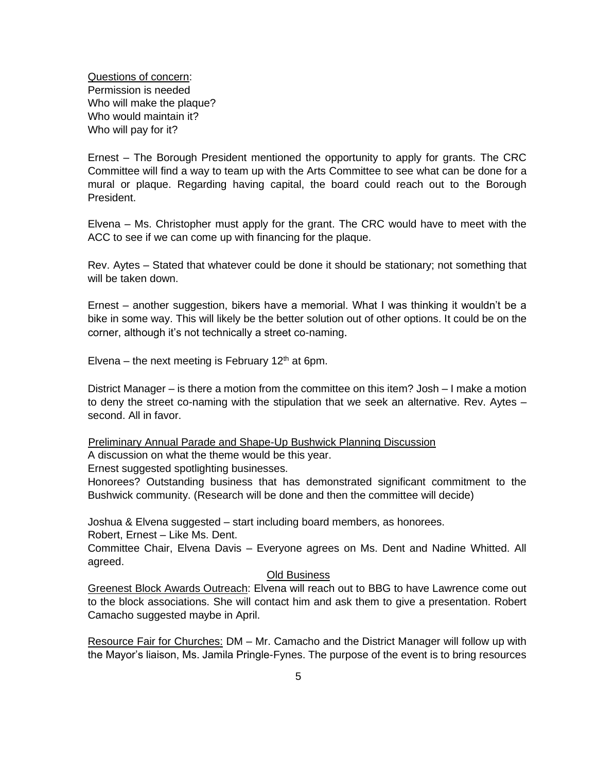Questions of concern: Permission is needed Who will make the plaque? Who would maintain it? Who will pay for it?

Ernest – The Borough President mentioned the opportunity to apply for grants. The CRC Committee will find a way to team up with the Arts Committee to see what can be done for a mural or plaque. Regarding having capital, the board could reach out to the Borough President.

Elvena – Ms. Christopher must apply for the grant. The CRC would have to meet with the ACC to see if we can come up with financing for the plaque.

Rev. Aytes – Stated that whatever could be done it should be stationary; not something that will be taken down.

Ernest – another suggestion, bikers have a memorial. What I was thinking it wouldn't be a bike in some way. This will likely be the better solution out of other options. It could be on the corner, although it's not technically a street co-naming.

Elvena – the next meeting is February 12<sup>th</sup> at 6pm.

District Manager – is there a motion from the committee on this item? Josh – I make a motion to deny the street co-naming with the stipulation that we seek an alternative. Rev. Aytes – second. All in favor.

Preliminary Annual Parade and Shape-Up Bushwick Planning Discussion

A discussion on what the theme would be this year.

Ernest suggested spotlighting businesses.

Honorees? Outstanding business that has demonstrated significant commitment to the Bushwick community. (Research will be done and then the committee will decide)

Joshua & Elvena suggested – start including board members, as honorees.

Robert, Ernest – Like Ms. Dent.

Committee Chair, Elvena Davis – Everyone agrees on Ms. Dent and Nadine Whitted. All agreed.

#### Old Business

Greenest Block Awards Outreach: Elvena will reach out to BBG to have Lawrence come out to the block associations. She will contact him and ask them to give a presentation. Robert Camacho suggested maybe in April.

Resource Fair for Churches: DM – Mr. Camacho and the District Manager will follow up with the Mayor's liaison, Ms. Jamila Pringle-Fynes. The purpose of the event is to bring resources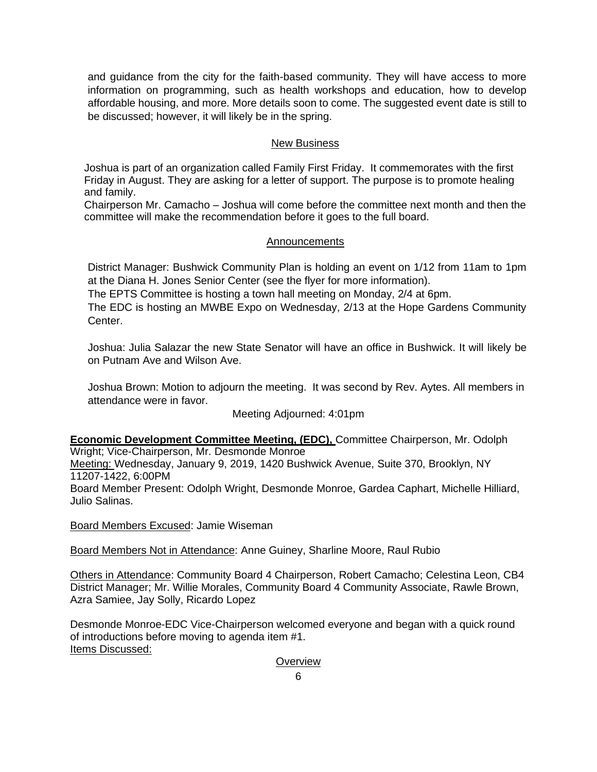and guidance from the city for the faith-based community. They will have access to more information on programming, such as health workshops and education, how to develop affordable housing, and more. More details soon to come. The suggested event date is still to be discussed; however, it will likely be in the spring.

# New Business

Joshua is part of an organization called Family First Friday. It commemorates with the first Friday in August. They are asking for a letter of support. The purpose is to promote healing and family.

Chairperson Mr. Camacho – Joshua will come before the committee next month and then the committee will make the recommendation before it goes to the full board.

### Announcements

District Manager: Bushwick Community Plan is holding an event on 1/12 from 11am to 1pm at the Diana H. Jones Senior Center (see the flyer for more information).

The EPTS Committee is hosting a town hall meeting on Monday, 2/4 at 6pm.

The EDC is hosting an MWBE Expo on Wednesday, 2/13 at the Hope Gardens Community Center.

Joshua: Julia Salazar the new State Senator will have an office in Bushwick. It will likely be on Putnam Ave and Wilson Ave.

Joshua Brown: Motion to adjourn the meeting. It was second by Rev. Aytes. All members in attendance were in favor.

# Meeting Adjourned: 4:01pm

**Economic Development Committee Meeting, (EDC),** Committee Chairperson, Mr. Odolph Wright; Vice-Chairperson, Mr. Desmonde Monroe

Meeting: Wednesday, January 9, 2019, 1420 Bushwick Avenue, Suite 370, Brooklyn, NY 11207-1422, 6:00PM

Board Member Present: Odolph Wright, Desmonde Monroe, Gardea Caphart, Michelle Hilliard, Julio Salinas.

Board Members Excused: Jamie Wiseman

Board Members Not in Attendance: Anne Guiney, Sharline Moore, Raul Rubio

Others in Attendance: Community Board 4 Chairperson, Robert Camacho; Celestina Leon, CB4 District Manager; Mr. Willie Morales, Community Board 4 Community Associate, Rawle Brown, Azra Samiee, Jay Solly, Ricardo Lopez

Desmonde Monroe-EDC Vice-Chairperson welcomed everyone and began with a quick round of introductions before moving to agenda item #1. Items Discussed:

**Overview**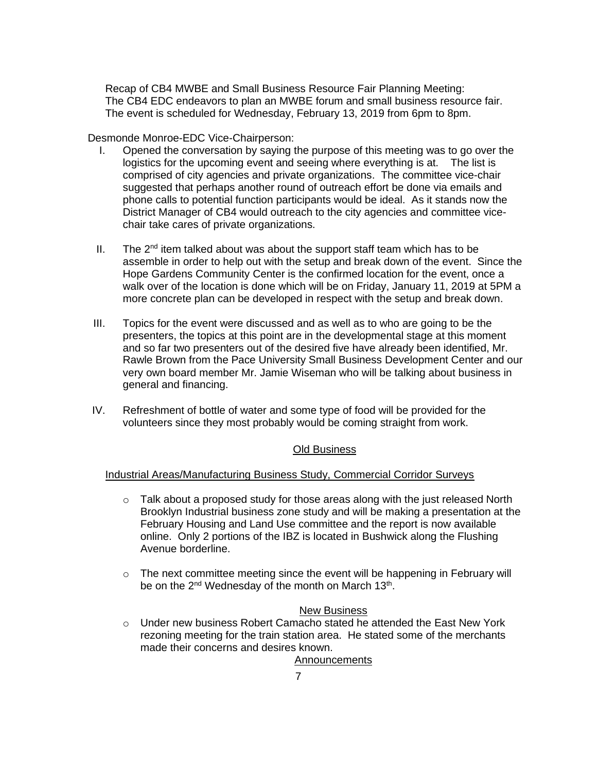Recap of CB4 MWBE and Small Business Resource Fair Planning Meeting: The CB4 EDC endeavors to plan an MWBE forum and small business resource fair. The event is scheduled for Wednesday, February 13, 2019 from 6pm to 8pm.

Desmonde Monroe-EDC Vice-Chairperson:

- I. Opened the conversation by saying the purpose of this meeting was to go over the logistics for the upcoming event and seeing where everything is at. The list is comprised of city agencies and private organizations. The committee vice-chair suggested that perhaps another round of outreach effort be done via emails and phone calls to potential function participants would be ideal. As it stands now the District Manager of CB4 would outreach to the city agencies and committee vicechair take cares of private organizations.
- II. The  $2^{nd}$  item talked about was about the support staff team which has to be assemble in order to help out with the setup and break down of the event. Since the Hope Gardens Community Center is the confirmed location for the event, once a walk over of the location is done which will be on Friday, January 11, 2019 at 5PM a more concrete plan can be developed in respect with the setup and break down.
- III. Topics for the event were discussed and as well as to who are going to be the presenters, the topics at this point are in the developmental stage at this moment and so far two presenters out of the desired five have already been identified, Mr. Rawle Brown from the Pace University Small Business Development Center and our very own board member Mr. Jamie Wiseman who will be talking about business in general and financing.
- IV. Refreshment of bottle of water and some type of food will be provided for the volunteers since they most probably would be coming straight from work.

# Old Business

### Industrial Areas/Manufacturing Business Study, Commercial Corridor Surveys

- $\circ$  Talk about a proposed study for those areas along with the just released North Brooklyn Industrial business zone study and will be making a presentation at the February Housing and Land Use committee and the report is now available online. Only 2 portions of the IBZ is located in Bushwick along the Flushing Avenue borderline.
- o The next committee meeting since the event will be happening in February will be on the 2<sup>nd</sup> Wednesday of the month on March 13<sup>th</sup>.

### New Business

o Under new business Robert Camacho stated he attended the East New York rezoning meeting for the train station area. He stated some of the merchants made their concerns and desires known.

Announcements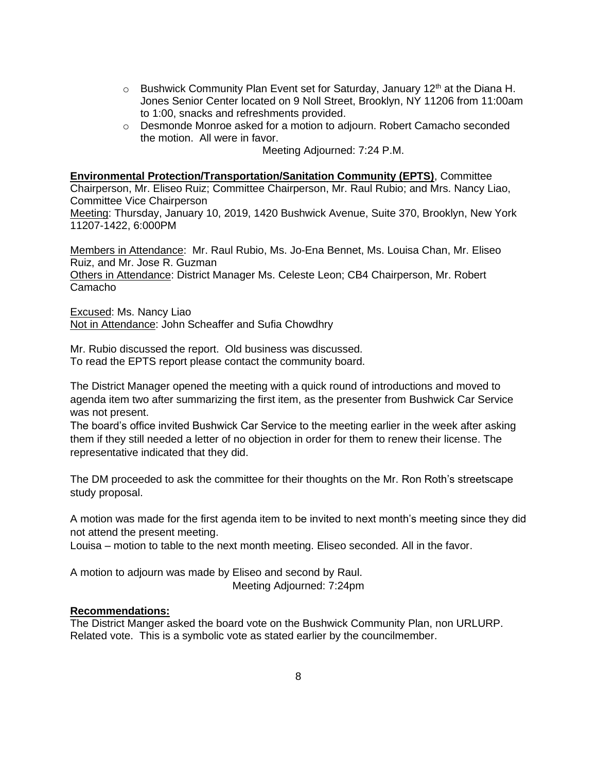- $\circ$  Bushwick Community Plan Event set for Saturday, January 12<sup>th</sup> at the Diana H. Jones Senior Center located on 9 Noll Street, Brooklyn, NY 11206 from 11:00am to 1:00, snacks and refreshments provided.
- o Desmonde Monroe asked for a motion to adjourn. Robert Camacho seconded the motion. All were in favor.

Meeting Adjourned: 7:24 P.M.

#### **Environmental Protection/Transportation/Sanitation Community (EPTS)**, Committee

Chairperson, Mr. Eliseo Ruiz; Committee Chairperson, Mr. Raul Rubio; and Mrs. Nancy Liao, Committee Vice Chairperson

Meeting: Thursday, January 10, 2019, 1420 Bushwick Avenue, Suite 370, Brooklyn, New York 11207-1422, 6:000PM

Members in Attendance: Mr. Raul Rubio, Ms. Jo-Ena Bennet, Ms. Louisa Chan, Mr. Eliseo Ruiz, and Mr. Jose R. Guzman Others in Attendance: District Manager Ms. Celeste Leon; CB4 Chairperson, Mr. Robert Camacho

Excused: Ms. Nancy Liao Not in Attendance: John Scheaffer and Sufia Chowdhry

Mr. Rubio discussed the report. Old business was discussed. To read the EPTS report please contact the community board.

The District Manager opened the meeting with a quick round of introductions and moved to agenda item two after summarizing the first item, as the presenter from Bushwick Car Service was not present.

The board's office invited Bushwick Car Service to the meeting earlier in the week after asking them if they still needed a letter of no objection in order for them to renew their license. The representative indicated that they did.

The DM proceeded to ask the committee for their thoughts on the Mr. Ron Roth's streetscape study proposal.

A motion was made for the first agenda item to be invited to next month's meeting since they did not attend the present meeting.

Louisa – motion to table to the next month meeting. Eliseo seconded. All in the favor.

A motion to adjourn was made by Eliseo and second by Raul. Meeting Adjourned: 7:24pm

### **Recommendations:**

The District Manger asked the board vote on the Bushwick Community Plan, non URLURP. Related vote. This is a symbolic vote as stated earlier by the councilmember.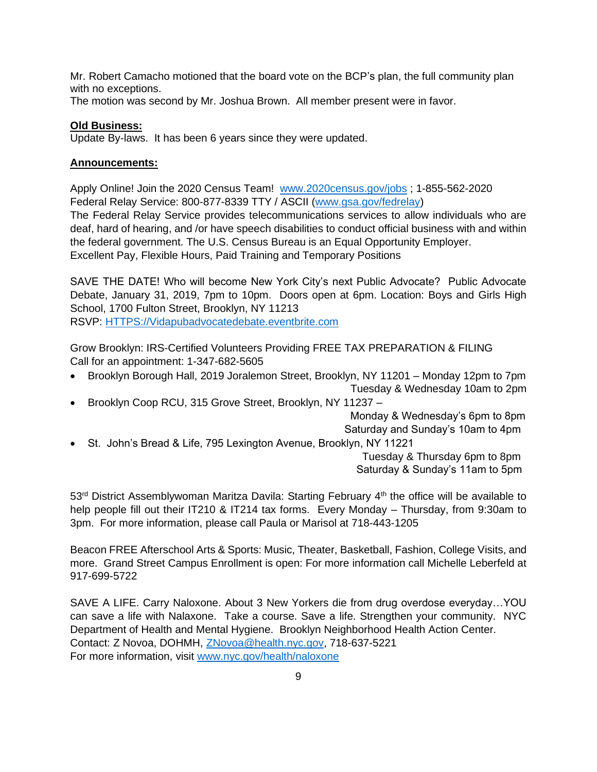Mr. Robert Camacho motioned that the board vote on the BCP's plan, the full community plan with no exceptions.

The motion was second by Mr. Joshua Brown. All member present were in favor.

## **Old Business:**

Update By-laws. It has been 6 years since they were updated.

# **Announcements:**

Apply Online! Join the 2020 Census Team! [www.2020census.gov/jobs](http://www.2020census.gov/jobs) ; 1-855-562-2020 Federal Relay Service: 800-877-8339 TTY / ASCII [\(www.gsa.gov/fedrelay\)](http://www.gsa.gov/fedrelay)

The Federal Relay Service provides telecommunications services to allow individuals who are deaf, hard of hearing, and /or have speech disabilities to conduct official business with and within the federal government. The U.S. Census Bureau is an Equal Opportunity Employer. Excellent Pay, Flexible Hours, Paid Training and Temporary Positions

SAVE THE DATE! Who will become New York City's next Public Advocate? Public Advocate Debate, January 31, 2019, 7pm to 10pm. Doors open at 6pm. Location: Boys and Girls High School, 1700 Fulton Street, Brooklyn, NY 11213 RSVP: [HTTPS://Vidapubadvocatedebate.eventbrite.com](https://vidapubadvocatedebate.eventbrite.com/) 

Grow Brooklyn: IRS-Certified Volunteers Providing FREE TAX PREPARATION & FILING Call for an appointment: 1-347-682-5605

- Brooklyn Borough Hall, 2019 Joralemon Street, Brooklyn, NY 11201 Monday 12pm to 7pm Tuesday & Wednesday 10am to 2pm
- Brooklyn Coop RCU, 315 Grove Street, Brooklyn, NY 11237 –

 Monday & Wednesday's 6pm to 8pm Saturday and Sunday's 10am to 4pm

• St. John's Bread & Life, 795 Lexington Avenue, Brooklyn, NY 11221

 Tuesday & Thursday 6pm to 8pm Saturday & Sunday's 11am to 5pm

53<sup>rd</sup> District Assemblywoman Maritza Davila: Starting February 4<sup>th</sup> the office will be available to help people fill out their IT210 & IT214 tax forms. Every Monday – Thursday, from 9:30am to 3pm. For more information, please call Paula or Marisol at 718-443-1205

Beacon FREE Afterschool Arts & Sports: Music, Theater, Basketball, Fashion, College Visits, and more. Grand Street Campus Enrollment is open: For more information call Michelle Leberfeld at 917-699-5722

SAVE A LIFE. Carry Naloxone. About 3 New Yorkers die from drug overdose everyday…YOU can save a life with Nalaxone. Take a course. Save a life. Strengthen your community. NYC Department of Health and Mental Hygiene. Brooklyn Neighborhood Health Action Center. Contact: Z Novoa, DOHMH, [ZNovoa@health.nyc.gov,](mailto:ZNovoa@health.nyc.gov) 718-637-5221 For more information, visit [www.nyc.gov/health/naloxone](http://www.nyc.gov/health/naloxone)